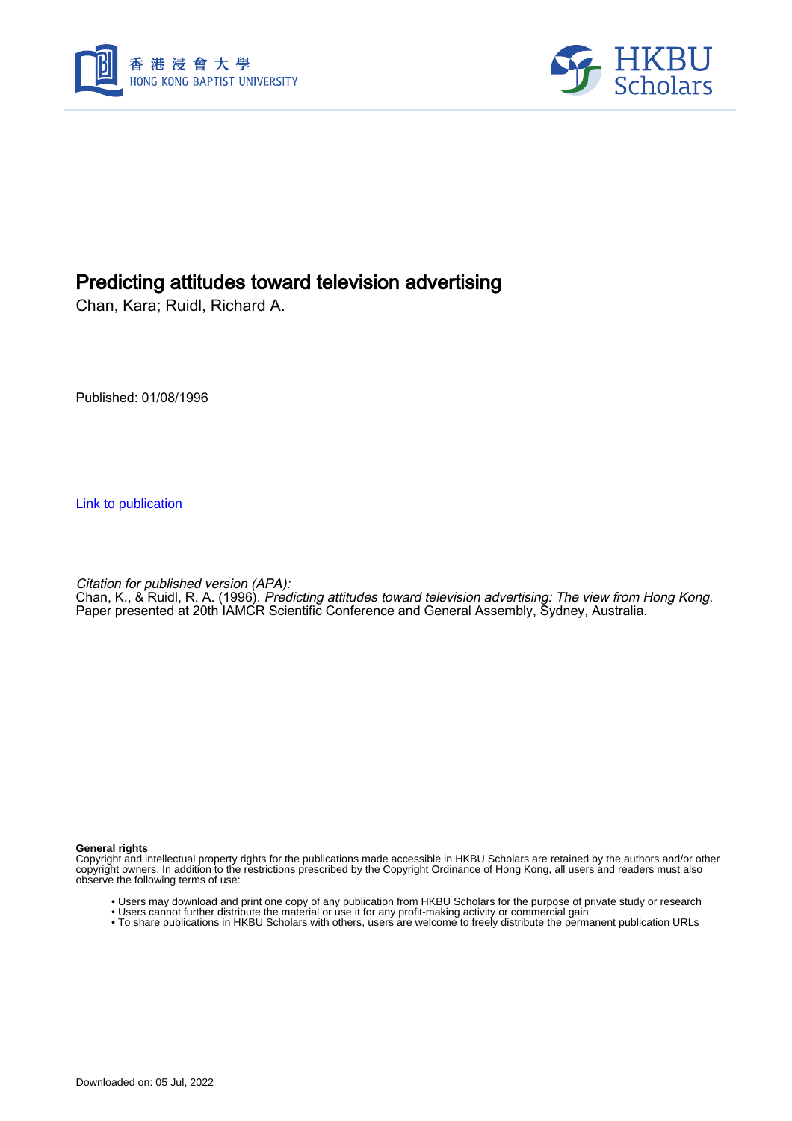



# Predicting attitudes toward television advertising

Chan, Kara; Ruidl, Richard A.

Published: 01/08/1996

[Link to publication](https://scholars.hkbu.edu.hk/en/publications/6912ccb9-0dd6-49ba-9dcb-ef1e30197d1f)

Citation for published version (APA):

Chan, K., & Ruidl, R. A. (1996). Predicting attitudes toward television advertising: The view from Hong Kong. Paper presented at 20th IAMCR Scientific Conference and General Assembly, Sydney, Australia.

#### **General rights**

Copyright and intellectual property rights for the publications made accessible in HKBU Scholars are retained by the authors and/or other copyright owners. In addition to the restrictions prescribed by the Copyright Ordinance of Hong Kong, all users and readers must also observe the following terms of use:

- Users may download and print one copy of any publication from HKBU Scholars for the purpose of private study or research
- Users cannot further distribute the material or use it for any profit-making activity or commercial gain
- To share publications in HKBU Scholars with others, users are welcome to freely distribute the permanent publication URLs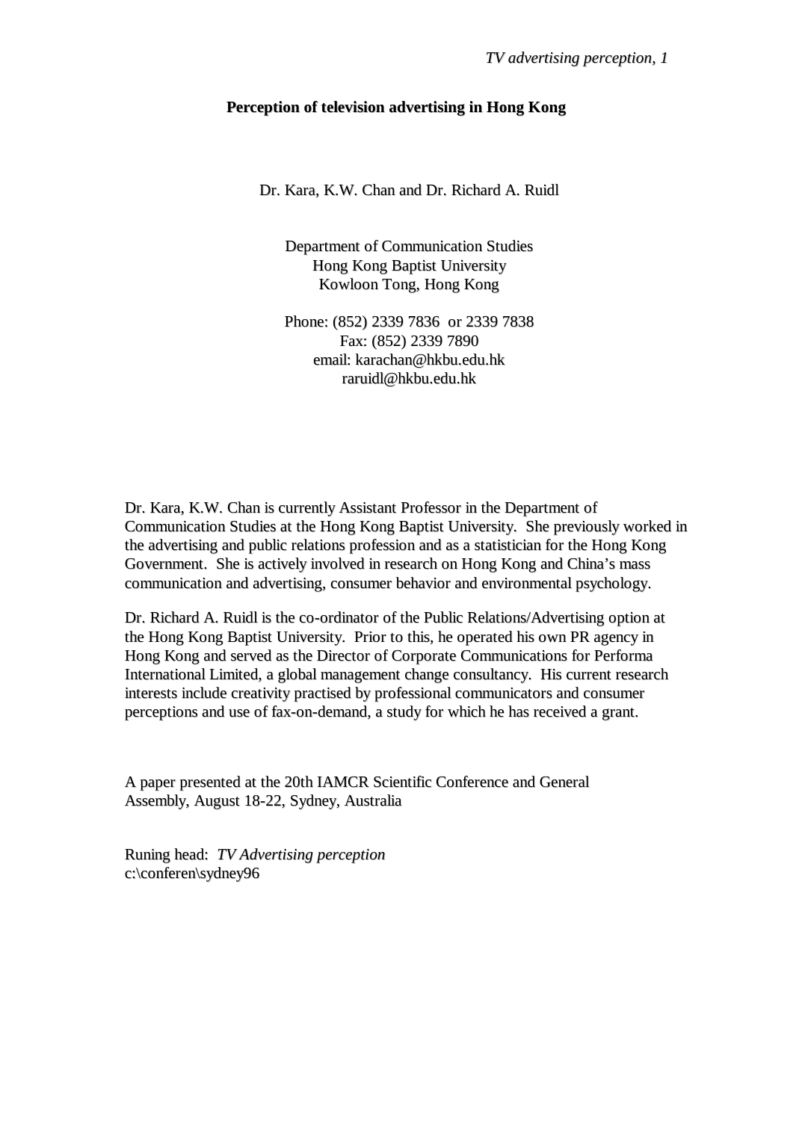### **Perception of television advertising in Hong Kong**

Dr. Kara, K.W. Chan and Dr. Richard A. Ruidl

Department of Communication Studies Hong Kong Baptist University Kowloon Tong, Hong Kong

Phone: (852) 2339 7836 or 2339 7838 Fax: (852) 2339 7890 email: karachan@hkbu.edu.hk raruidl@hkbu.edu.hk

Dr. Kara, K.W. Chan is currently Assistant Professor in the Department of Communication Studies at the Hong Kong Baptist University. She previously worked in the advertising and public relations profession and as a statistician for the Hong Kong Government. She is actively involved in research on Hong Kong and China's mass communication and advertising, consumer behavior and environmental psychology.

Dr. Richard A. Ruidl is the co-ordinator of the Public Relations/Advertising option at the Hong Kong Baptist University. Prior to this, he operated his own PR agency in Hong Kong and served as the Director of Corporate Communications for Performa International Limited, a global management change consultancy. His current research interests include creativity practised by professional communicators and consumer perceptions and use of fax-on-demand, a study for which he has received a grant.

A paper presented at the 20th IAMCR Scientific Conference and General Assembly, August 18-22, Sydney, Australia

Runing head: *TV Advertising perception* c:\conferen\sydney96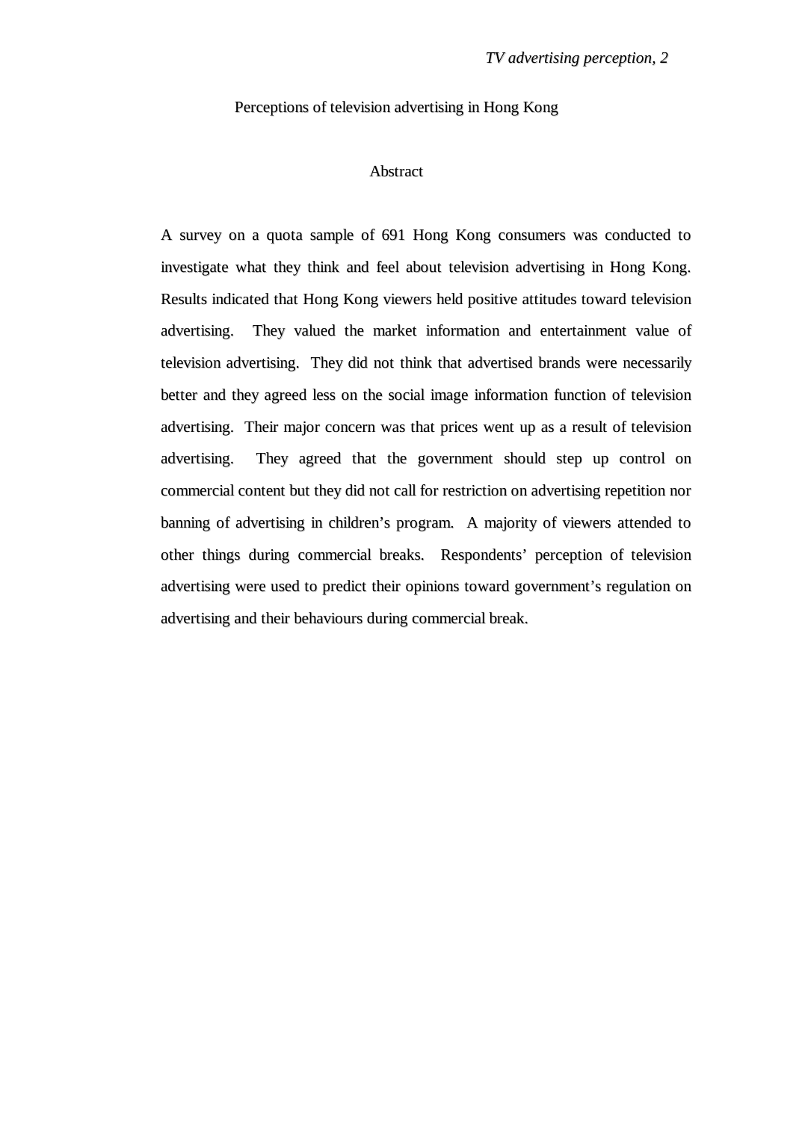Perceptions of television advertising in Hong Kong

### Abstract

A survey on a quota sample of 691 Hong Kong consumers was conducted to investigate what they think and feel about television advertising in Hong Kong. Results indicated that Hong Kong viewers held positive attitudes toward television advertising. They valued the market information and entertainment value of television advertising. They did not think that advertised brands were necessarily better and they agreed less on the social image information function of television advertising. Their major concern was that prices went up as a result of television advertising. They agreed that the government should step up control on commercial content but they did not call for restriction on advertising repetition nor banning of advertising in children's program. A majority of viewers attended to other things during commercial breaks. Respondents' perception of television advertising were used to predict their opinions toward government's regulation on advertising and their behaviours during commercial break.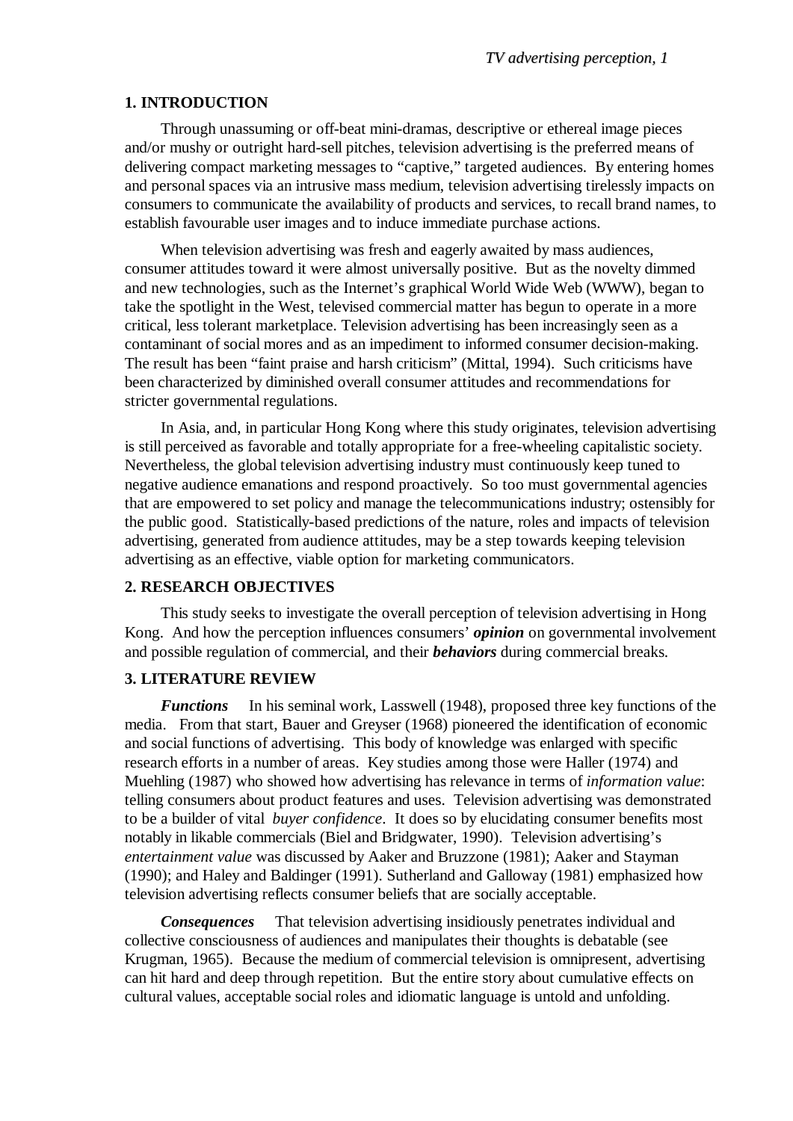### **1. INTRODUCTION**

Through unassuming or off-beat mini-dramas, descriptive or ethereal image pieces and/or mushy or outright hard-sell pitches, television advertising is the preferred means of delivering compact marketing messages to "captive," targeted audiences. By entering homes and personal spaces via an intrusive mass medium, television advertising tirelessly impacts on consumers to communicate the availability of products and services, to recall brand names, to establish favourable user images and to induce immediate purchase actions.

When television advertising was fresh and eagerly awaited by mass audiences, consumer attitudes toward it were almost universally positive. But as the novelty dimmed and new technologies, such as the Internet's graphical World Wide Web (WWW), began to take the spotlight in the West, televised commercial matter has begun to operate in a more critical, less tolerant marketplace. Television advertising has been increasingly seen as a contaminant of social mores and as an impediment to informed consumer decision-making. The result has been "faint praise and harsh criticism" (Mittal, 1994). Such criticisms have been characterized by diminished overall consumer attitudes and recommendations for stricter governmental regulations.

In Asia, and, in particular Hong Kong where this study originates, television advertising is still perceived as favorable and totally appropriate for a free-wheeling capitalistic society. Nevertheless, the global television advertising industry must continuously keep tuned to negative audience emanations and respond proactively. So too must governmental agencies that are empowered to set policy and manage the telecommunications industry; ostensibly for the public good. Statistically-based predictions of the nature, roles and impacts of television advertising, generated from audience attitudes, may be a step towards keeping television advertising as an effective, viable option for marketing communicators.

### **2. RESEARCH OBJECTIVES**

This study seeks to investigate the overall perception of television advertising in Hong Kong. And how the perception influences consumers' *opinion* on governmental involvement and possible regulation of commercial, and their *behaviors* during commercial breaks.

## **3. LITERATURE REVIEW**

*Functions* In his seminal work, Lasswell (1948), proposed three key functions of the media. From that start, Bauer and Greyser (1968) pioneered the identification of economic and social functions of advertising. This body of knowledge was enlarged with specific research efforts in a number of areas. Key studies among those were Haller (1974) and Muehling (1987) who showed how advertising has relevance in terms of *information value*: telling consumers about product features and uses. Television advertising was demonstrated to be a builder of vital *buyer confidence*. It does so by elucidating consumer benefits most notably in likable commercials (Biel and Bridgwater, 1990). Television advertising's *entertainment value* was discussed by Aaker and Bruzzone (1981); Aaker and Stayman (1990); and Haley and Baldinger (1991). Sutherland and Galloway (1981) emphasized how television advertising reflects consumer beliefs that are socially acceptable.

*Consequences* That television advertising insidiously penetrates individual and collective consciousness of audiences and manipulates their thoughts is debatable (see Krugman, 1965). Because the medium of commercial television is omnipresent, advertising can hit hard and deep through repetition. But the entire story about cumulative effects on cultural values, acceptable social roles and idiomatic language is untold and unfolding.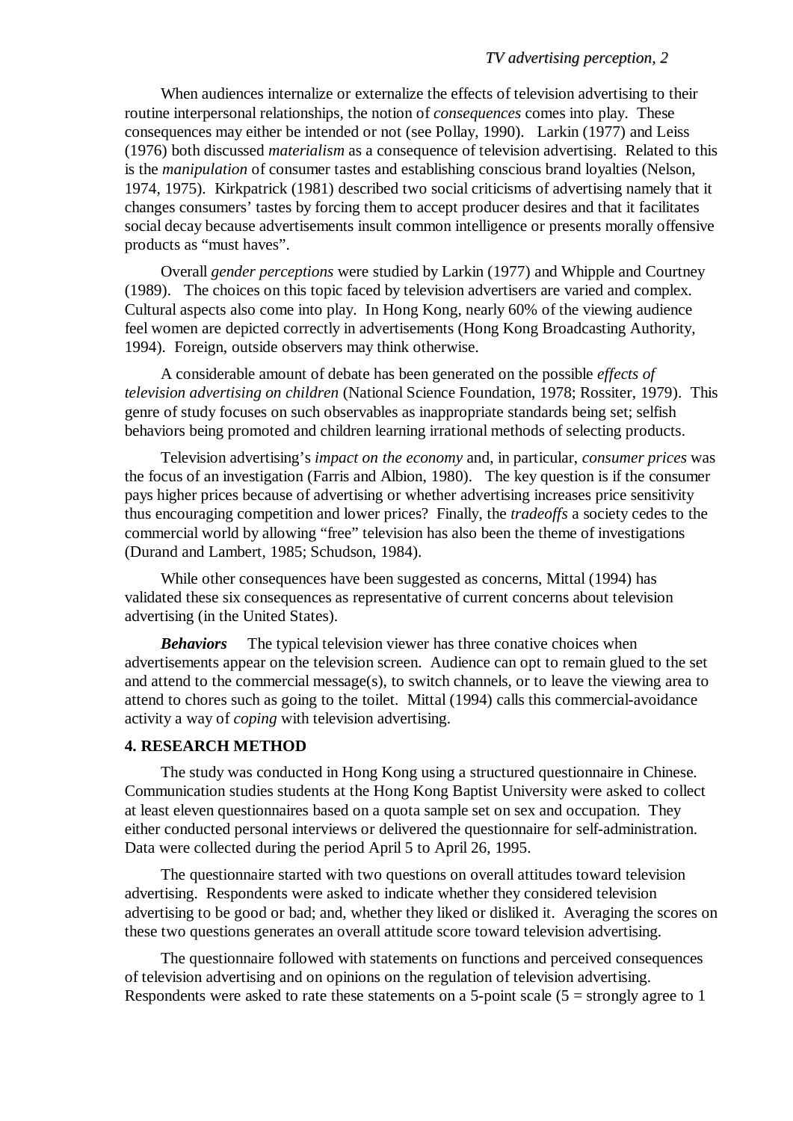When audiences internalize or externalize the effects of television advertising to their routine interpersonal relationships, the notion of *consequences* comes into play. These consequences may either be intended or not (see Pollay, 1990). Larkin (1977) and Leiss (1976) both discussed *materialism* as a consequence of television advertising. Related to this is the *manipulation* of consumer tastes and establishing conscious brand loyalties (Nelson, 1974, 1975). Kirkpatrick (1981) described two social criticisms of advertising namely that it changes consumers' tastes by forcing them to accept producer desires and that it facilitates social decay because advertisements insult common intelligence or presents morally offensive products as "must haves".

Overall *gender perceptions* were studied by Larkin (1977) and Whipple and Courtney (1989). The choices on this topic faced by television advertisers are varied and complex. Cultural aspects also come into play. In Hong Kong, nearly 60% of the viewing audience feel women are depicted correctly in advertisements (Hong Kong Broadcasting Authority, 1994). Foreign, outside observers may think otherwise.

A considerable amount of debate has been generated on the possible *effects of television advertising on children* (National Science Foundation, 1978; Rossiter, 1979). This genre of study focuses on such observables as inappropriate standards being set; selfish behaviors being promoted and children learning irrational methods of selecting products.

Television advertising's *impact on the economy* and, in particular, *consumer prices* was the focus of an investigation (Farris and Albion, 1980). The key question is if the consumer pays higher prices because of advertising or whether advertising increases price sensitivity thus encouraging competition and lower prices? Finally, the *tradeoffs* a society cedes to the commercial world by allowing "free" television has also been the theme of investigations (Durand and Lambert, 1985; Schudson, 1984).

While other consequences have been suggested as concerns, Mittal (1994) has validated these six consequences as representative of current concerns about television advertising (in the United States).

*Behaviors* The typical television viewer has three conative choices when advertisements appear on the television screen. Audience can opt to remain glued to the set and attend to the commercial message(s), to switch channels, or to leave the viewing area to attend to chores such as going to the toilet. Mittal (1994) calls this commercial-avoidance activity a way of *coping* with television advertising.

### **4. RESEARCH METHOD**

The study was conducted in Hong Kong using a structured questionnaire in Chinese. Communication studies students at the Hong Kong Baptist University were asked to collect at least eleven questionnaires based on a quota sample set on sex and occupation. They either conducted personal interviews or delivered the questionnaire for self-administration. Data were collected during the period April 5 to April 26, 1995.

The questionnaire started with two questions on overall attitudes toward television advertising. Respondents were asked to indicate whether they considered television advertising to be good or bad; and, whether they liked or disliked it. Averaging the scores on these two questions generates an overall attitude score toward television advertising.

The questionnaire followed with statements on functions and perceived consequences of television advertising and on opinions on the regulation of television advertising. Respondents were asked to rate these statements on a 5-point scale  $(5 =$  strongly agree to 1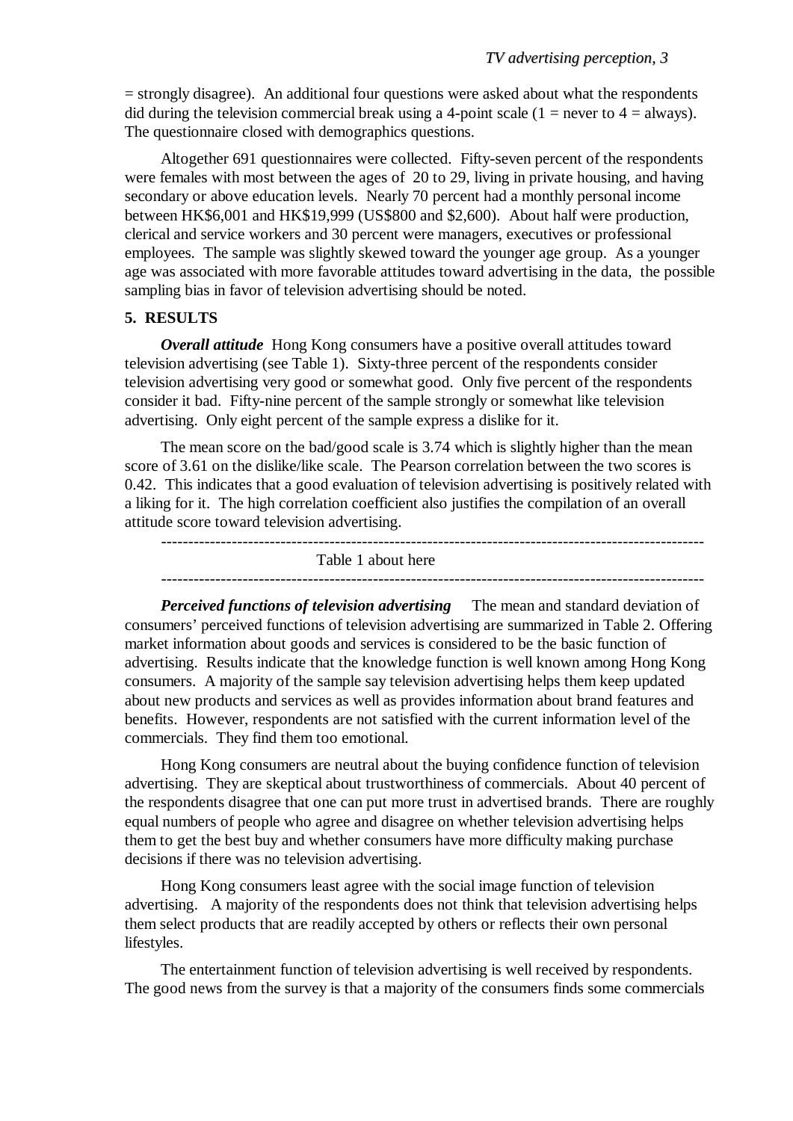= strongly disagree). An additional four questions were asked about what the respondents did during the television commercial break using a 4-point scale (1 = never to 4 = always). The questionnaire closed with demographics questions.

Altogether 691 questionnaires were collected. Fifty-seven percent of the respondents were females with most between the ages of 20 to 29, living in private housing, and having secondary or above education levels. Nearly 70 percent had a monthly personal income between HK\$6,001 and HK\$19,999 (US\$800 and \$2,600). About half were production, clerical and service workers and 30 percent were managers, executives or professional employees. The sample was slightly skewed toward the younger age group. As a younger age was associated with more favorable attitudes toward advertising in the data, the possible sampling bias in favor of television advertising should be noted.

### **5. RESULTS**

*Overall attitude* Hong Kong consumers have a positive overall attitudes toward television advertising (see Table 1). Sixty-three percent of the respondents consider television advertising very good or somewhat good. Only five percent of the respondents consider it bad. Fifty-nine percent of the sample strongly or somewhat like television advertising. Only eight percent of the sample express a dislike for it.

The mean score on the bad/good scale is 3.74 which is slightly higher than the mean score of 3.61 on the dislike/like scale. The Pearson correlation between the two scores is 0.42. This indicates that a good evaluation of television advertising is positively related with a liking for it. The high correlation coefficient also justifies the compilation of an overall attitude score toward television advertising.

> Table 1 about here ----------------------------------------------------------------------------------------------------

*Perceived functions of television advertising* The mean and standard deviation of consumers' perceived functions of television advertising are summarized in Table 2. Offering market information about goods and services is considered to be the basic function of advertising. Results indicate that the knowledge function is well known among Hong Kong consumers. A majority of the sample say television advertising helps them keep updated about new products and services as well as provides information about brand features and benefits. However, respondents are not satisfied with the current information level of the commercials. They find them too emotional.

Hong Kong consumers are neutral about the buying confidence function of television advertising. They are skeptical about trustworthiness of commercials. About 40 percent of the respondents disagree that one can put more trust in advertised brands. There are roughly equal numbers of people who agree and disagree on whether television advertising helps them to get the best buy and whether consumers have more difficulty making purchase decisions if there was no television advertising.

Hong Kong consumers least agree with the social image function of television advertising. A majority of the respondents does not think that television advertising helps them select products that are readily accepted by others or reflects their own personal lifestyles.

The entertainment function of television advertising is well received by respondents. The good news from the survey is that a majority of the consumers finds some commercials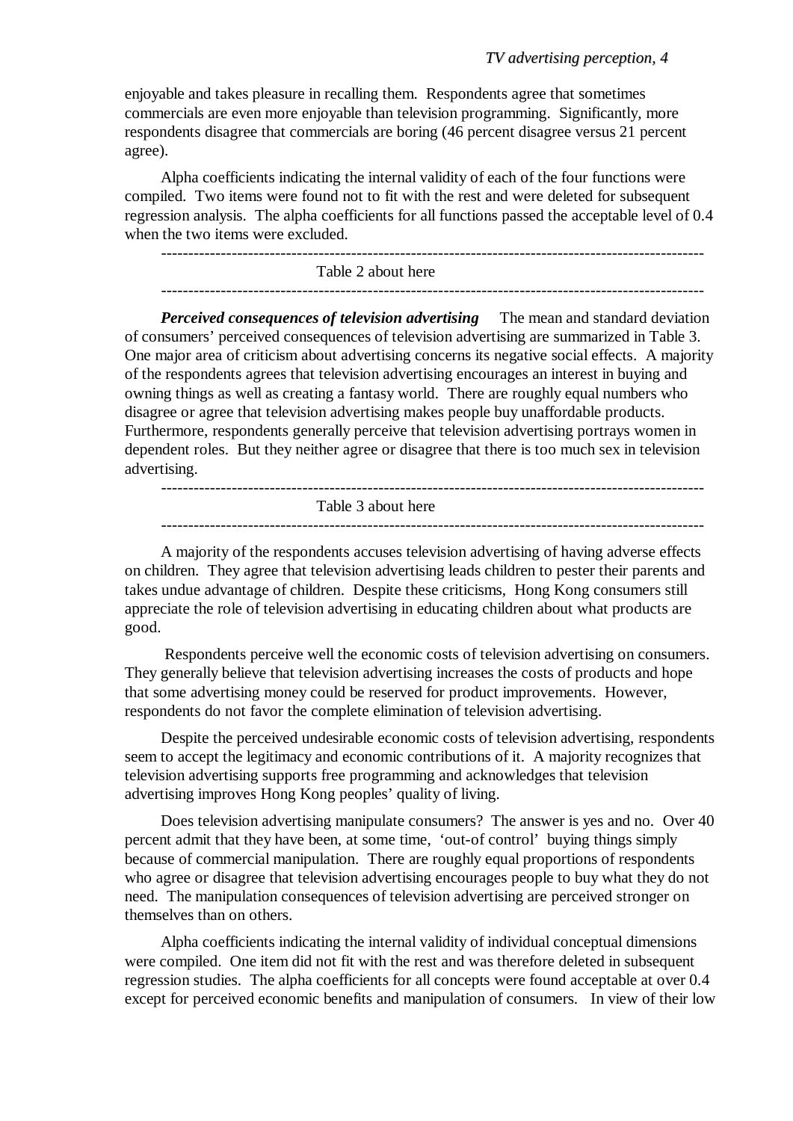enjoyable and takes pleasure in recalling them. Respondents agree that sometimes commercials are even more enjoyable than television programming. Significantly, more respondents disagree that commercials are boring (46 percent disagree versus 21 percent agree).

Alpha coefficients indicating the internal validity of each of the four functions were compiled. Two items were found not to fit with the rest and were deleted for subsequent regression analysis. The alpha coefficients for all functions passed the acceptable level of 0.4 when the two items were excluded.

Table 2 about here

*Perceived consequences of television advertising* The mean and standard deviation of consumers' perceived consequences of television advertising are summarized in Table 3. One major area of criticism about advertising concerns its negative social effects. A majority of the respondents agrees that television advertising encourages an interest in buying and owning things as well as creating a fantasy world. There are roughly equal numbers who disagree or agree that television advertising makes people buy unaffordable products. Furthermore, respondents generally perceive that television advertising portrays women in dependent roles. But they neither agree or disagree that there is too much sex in television advertising.

----------------------------------------------------------------------------------------------------

----------------------------------------------------------------------------------------------------

Table 3 about here

A majority of the respondents accuses television advertising of having adverse effects on children. They agree that television advertising leads children to pester their parents and takes undue advantage of children. Despite these criticisms, Hong Kong consumers still appreciate the role of television advertising in educating children about what products are good.

 Respondents perceive well the economic costs of television advertising on consumers. They generally believe that television advertising increases the costs of products and hope that some advertising money could be reserved for product improvements. However, respondents do not favor the complete elimination of television advertising.

Despite the perceived undesirable economic costs of television advertising, respondents seem to accept the legitimacy and economic contributions of it. A majority recognizes that television advertising supports free programming and acknowledges that television advertising improves Hong Kong peoples' quality of living.

Does television advertising manipulate consumers? The answer is yes and no. Over 40 percent admit that they have been, at some time, 'out-of control' buying things simply because of commercial manipulation. There are roughly equal proportions of respondents who agree or disagree that television advertising encourages people to buy what they do not need. The manipulation consequences of television advertising are perceived stronger on themselves than on others.

Alpha coefficients indicating the internal validity of individual conceptual dimensions were compiled. One item did not fit with the rest and was therefore deleted in subsequent regression studies. The alpha coefficients for all concepts were found acceptable at over 0.4 except for perceived economic benefits and manipulation of consumers. In view of their low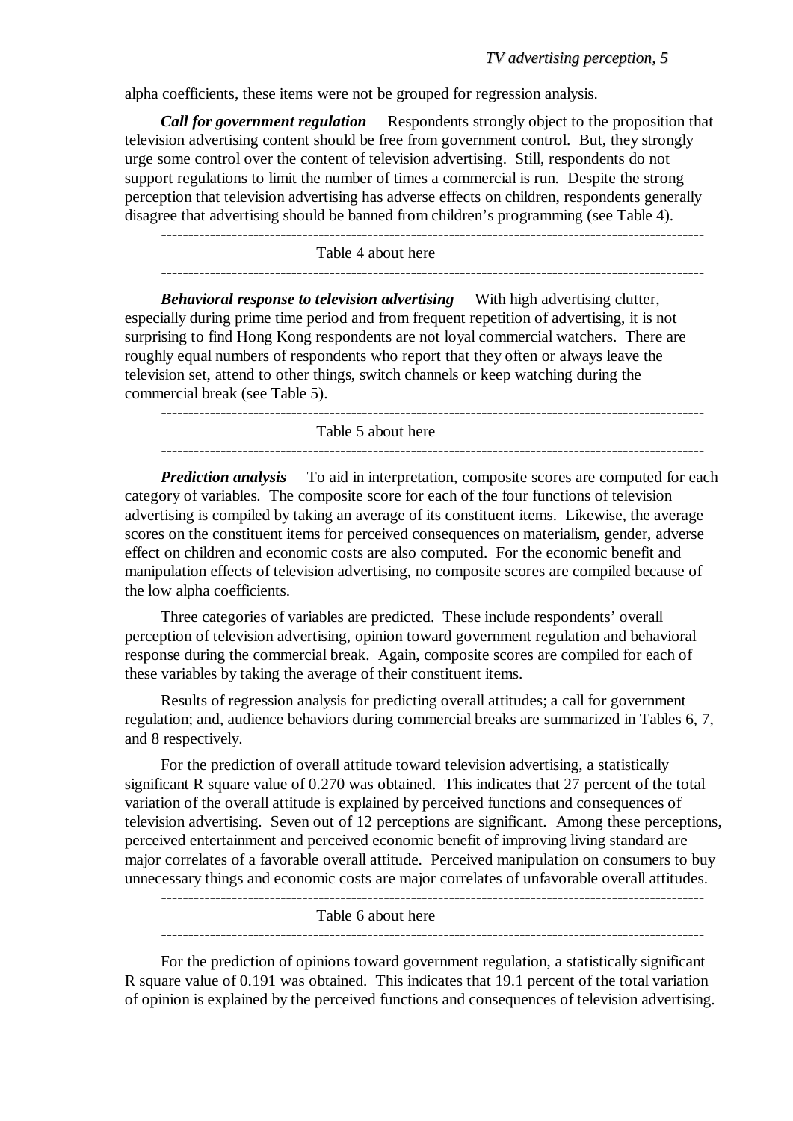alpha coefficients, these items were not be grouped for regression analysis.

*Call for government regulation* Respondents strongly object to the proposition that television advertising content should be free from government control. But, they strongly urge some control over the content of television advertising. Still, respondents do not support regulations to limit the number of times a commercial is run. Despite the strong perception that television advertising has adverse effects on children, respondents generally disagree that advertising should be banned from children's programming (see Table 4).

---------------------------------------------------------------------------------------------------- Table 4 about here ----------------------------------------------------------------------------------------------------

*Behavioral response to television advertising* With high advertising clutter, especially during prime time period and from frequent repetition of advertising, it is not surprising to find Hong Kong respondents are not loyal commercial watchers. There are roughly equal numbers of respondents who report that they often or always leave the television set, attend to other things, switch channels or keep watching during the commercial break (see Table 5).

Table 5 about here

*Prediction analysis* To aid in interpretation, composite scores are computed for each category of variables. The composite score for each of the four functions of television advertising is compiled by taking an average of its constituent items. Likewise, the average scores on the constituent items for perceived consequences on materialism, gender, adverse

----------------------------------------------------------------------------------------------------

effect on children and economic costs are also computed. For the economic benefit and manipulation effects of television advertising, no composite scores are compiled because of the low alpha coefficients.

Three categories of variables are predicted. These include respondents' overall perception of television advertising, opinion toward government regulation and behavioral response during the commercial break. Again, composite scores are compiled for each of these variables by taking the average of their constituent items.

Results of regression analysis for predicting overall attitudes; a call for government regulation; and, audience behaviors during commercial breaks are summarized in Tables 6, 7, and 8 respectively.

For the prediction of overall attitude toward television advertising, a statistically significant R square value of 0.270 was obtained. This indicates that 27 percent of the total variation of the overall attitude is explained by perceived functions and consequences of television advertising. Seven out of 12 perceptions are significant. Among these perceptions, perceived entertainment and perceived economic benefit of improving living standard are major correlates of a favorable overall attitude. Perceived manipulation on consumers to buy unnecessary things and economic costs are major correlates of unfavorable overall attitudes.

----------------------------------------------------------------------------------------------------

Table 6 about here

----------------------------------------------------------------------------------------------------

For the prediction of opinions toward government regulation, a statistically significant R square value of 0.191 was obtained. This indicates that 19.1 percent of the total variation of opinion is explained by the perceived functions and consequences of television advertising.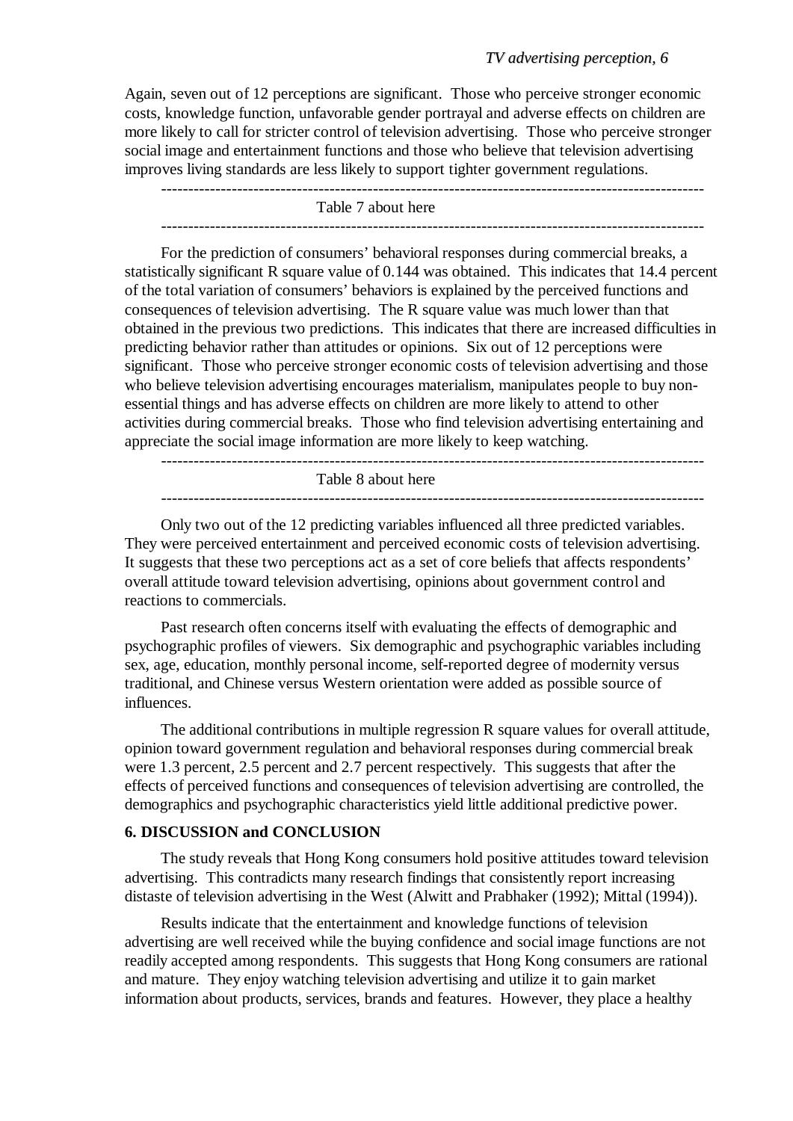Again, seven out of 12 perceptions are significant. Those who perceive stronger economic costs, knowledge function, unfavorable gender portrayal and adverse effects on children are more likely to call for stricter control of television advertising. Those who perceive stronger social image and entertainment functions and those who believe that television advertising improves living standards are less likely to support tighter government regulations.

---------------------------------------------------------------------------------------------------- Table 7 about here

For the prediction of consumers' behavioral responses during commercial breaks, a statistically significant R square value of 0.144 was obtained. This indicates that 14.4 percent of the total variation of consumers' behaviors is explained by the perceived functions and consequences of television advertising. The R square value was much lower than that obtained in the previous two predictions. This indicates that there are increased difficulties in predicting behavior rather than attitudes or opinions. Six out of 12 perceptions were significant. Those who perceive stronger economic costs of television advertising and those who believe television advertising encourages materialism, manipulates people to buy nonessential things and has adverse effects on children are more likely to attend to other activities during commercial breaks. Those who find television advertising entertaining and appreciate the social image information are more likely to keep watching.

----------------------------------------------------------------------------------------------------

Table 8 about here

Only two out of the 12 predicting variables influenced all three predicted variables. They were perceived entertainment and perceived economic costs of television advertising. It suggests that these two perceptions act as a set of core beliefs that affects respondents' overall attitude toward television advertising, opinions about government control and reactions to commercials.

Past research often concerns itself with evaluating the effects of demographic and psychographic profiles of viewers. Six demographic and psychographic variables including sex, age, education, monthly personal income, self-reported degree of modernity versus traditional, and Chinese versus Western orientation were added as possible source of influences.

The additional contributions in multiple regression R square values for overall attitude, opinion toward government regulation and behavioral responses during commercial break were 1.3 percent, 2.5 percent and 2.7 percent respectively. This suggests that after the effects of perceived functions and consequences of television advertising are controlled, the demographics and psychographic characteristics yield little additional predictive power.

### **6. DISCUSSION and CONCLUSION**

The study reveals that Hong Kong consumers hold positive attitudes toward television advertising. This contradicts many research findings that consistently report increasing distaste of television advertising in the West (Alwitt and Prabhaker (1992); Mittal (1994)).

Results indicate that the entertainment and knowledge functions of television advertising are well received while the buying confidence and social image functions are not readily accepted among respondents. This suggests that Hong Kong consumers are rational and mature. They enjoy watching television advertising and utilize it to gain market information about products, services, brands and features. However, they place a healthy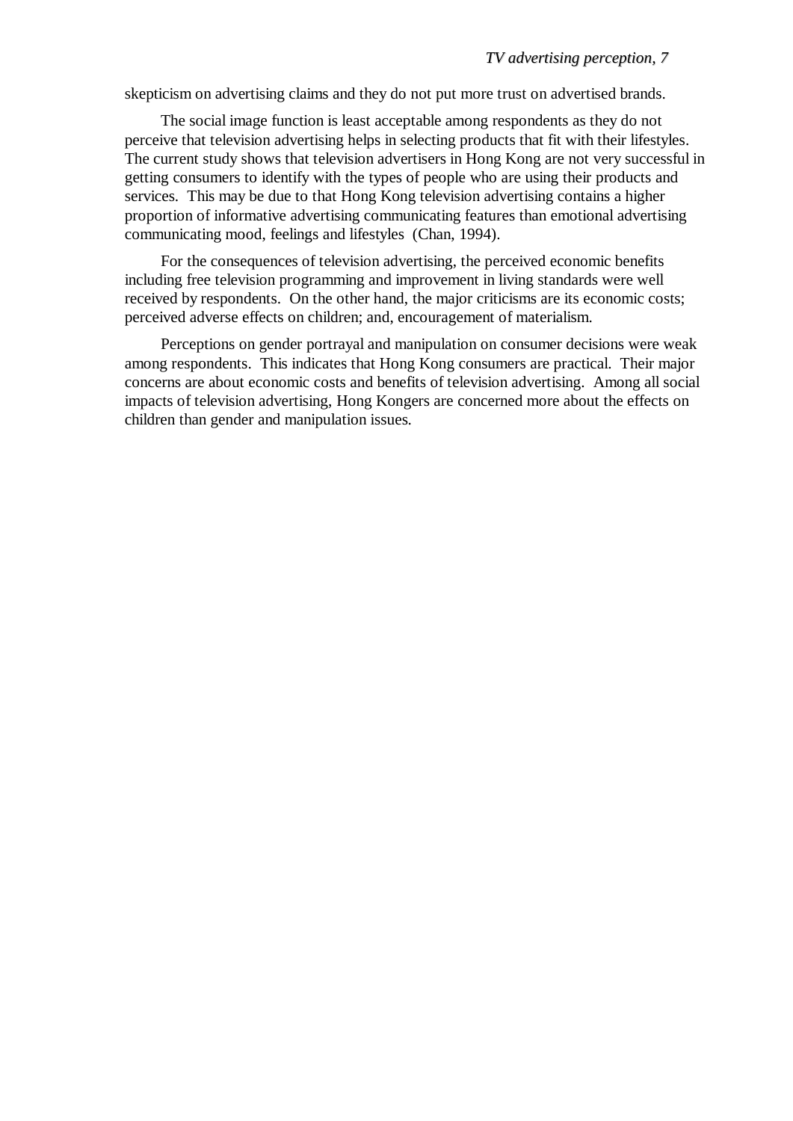skepticism on advertising claims and they do not put more trust on advertised brands.

The social image function is least acceptable among respondents as they do not perceive that television advertising helps in selecting products that fit with their lifestyles. The current study shows that television advertisers in Hong Kong are not very successful in getting consumers to identify with the types of people who are using their products and services. This may be due to that Hong Kong television advertising contains a higher proportion of informative advertising communicating features than emotional advertising communicating mood, feelings and lifestyles (Chan, 1994).

For the consequences of television advertising, the perceived economic benefits including free television programming and improvement in living standards were well received by respondents. On the other hand, the major criticisms are its economic costs; perceived adverse effects on children; and, encouragement of materialism.

Perceptions on gender portrayal and manipulation on consumer decisions were weak among respondents. This indicates that Hong Kong consumers are practical. Their major concerns are about economic costs and benefits of television advertising. Among all social impacts of television advertising, Hong Kongers are concerned more about the effects on children than gender and manipulation issues.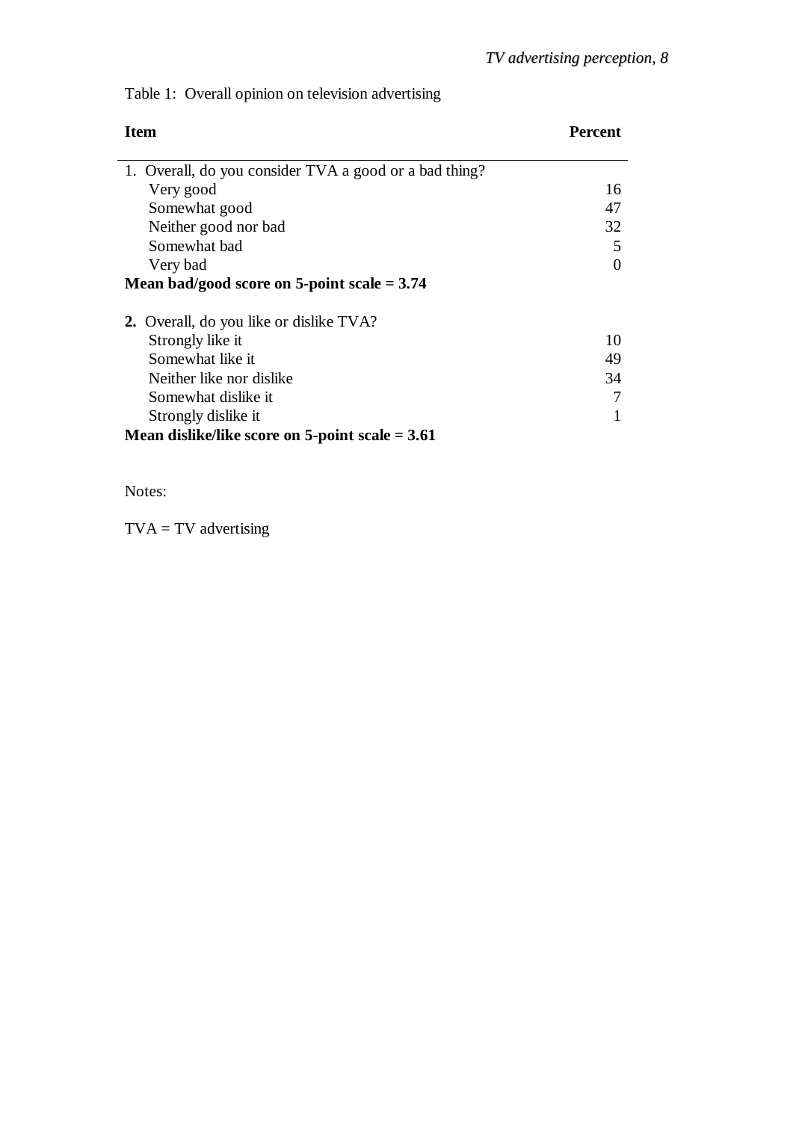# Table 1: Overall opinion on television advertising

| <b>Percent</b> |
|----------------|
|                |
|                |
| 16             |
| 47             |
| 32             |
| 5              |
| 0              |
|                |
|                |
| 10             |
| 49             |
| 34             |
|                |
|                |
|                |
|                |

Notes:

 $TVA = TV$  advertising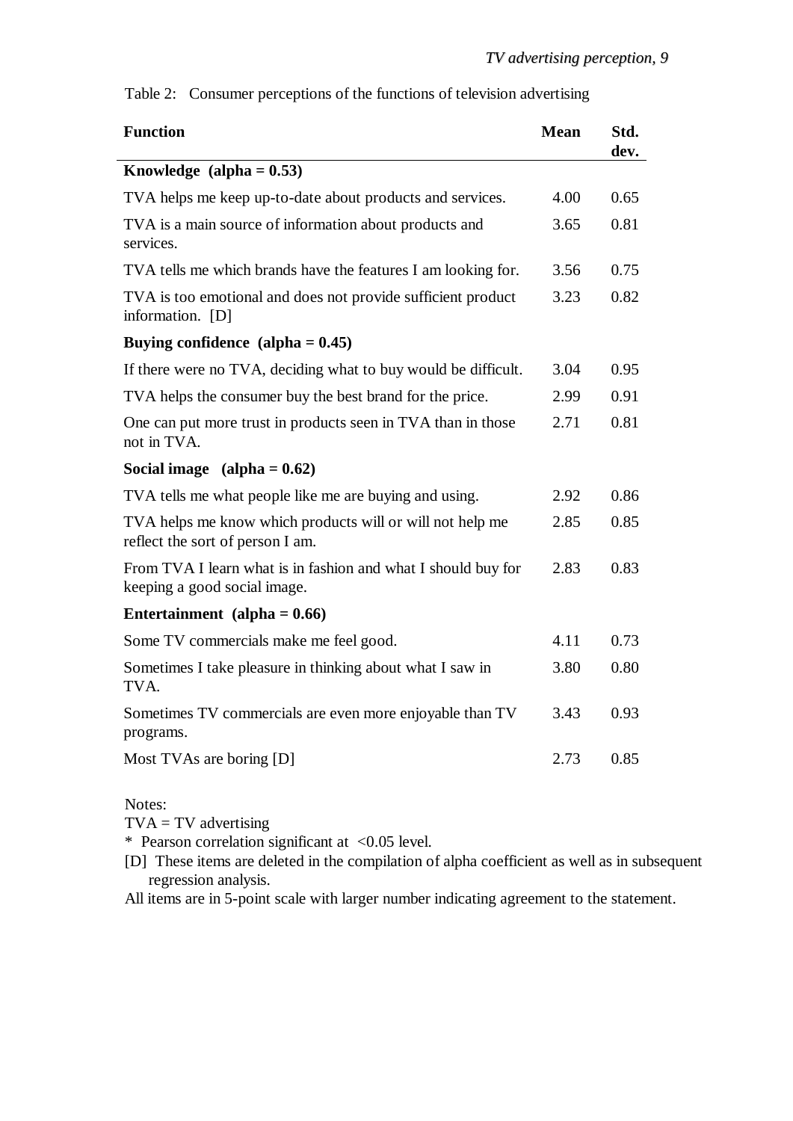Table 2: Consumer perceptions of the functions of television advertising

| <b>Function</b>                                                                               | <b>Mean</b> | Std.<br>dev. |
|-----------------------------------------------------------------------------------------------|-------------|--------------|
| Knowledge $(alpha = 0.53)$                                                                    |             |              |
| TVA helps me keep up-to-date about products and services.                                     | 4.00        | 0.65         |
| TVA is a main source of information about products and<br>services.                           | 3.65        | 0.81         |
| TVA tells me which brands have the features I am looking for.                                 | 3.56        | 0.75         |
| TVA is too emotional and does not provide sufficient product<br>information. [D]              | 3.23        | 0.82         |
| Buying confidence $\alpha$ (alpha = 0.45)                                                     |             |              |
| If there were no TVA, deciding what to buy would be difficult.                                | 3.04        | 0.95         |
| TVA helps the consumer buy the best brand for the price.                                      | 2.99        | 0.91         |
| One can put more trust in products seen in TVA than in those<br>not in TVA.                   | 2.71        | 0.81         |
| Social image $\alpha$ (alpha = 0.62)                                                          |             |              |
| TVA tells me what people like me are buying and using.                                        | 2.92        | 0.86         |
| TVA helps me know which products will or will not help me<br>reflect the sort of person I am. | 2.85        | 0.85         |
| From TVA I learn what is in fashion and what I should buy for<br>keeping a good social image. | 2.83        | 0.83         |
| Entertainment (alpha = $0.66$ )                                                               |             |              |
| Some TV commercials make me feel good.                                                        | 4.11        | 0.73         |
| Sometimes I take pleasure in thinking about what I saw in<br>TVA.                             | 3.80        | 0.80         |
| Sometimes TV commercials are even more enjoyable than TV<br>programs.                         | 3.43        | 0.93         |
| Most TVAs are boring [D]                                                                      | 2.73        | 0.85         |

Notes:

 $TVA = TV$  advertising

\* Pearson correlation significant at <0.05 level.

[D] These items are deleted in the compilation of alpha coefficient as well as in subsequent regression analysis.

All items are in 5-point scale with larger number indicating agreement to the statement.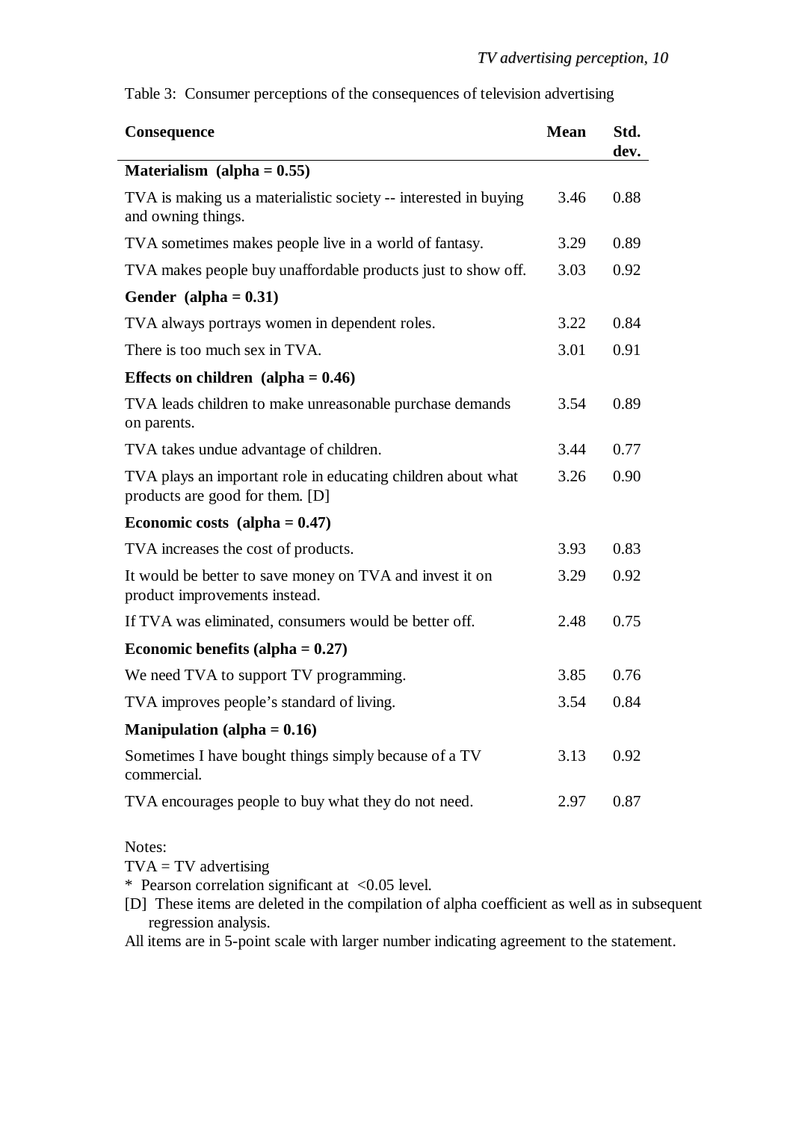Table 3: Consumer perceptions of the consequences of television advertising

| Consequence                                                                                     | <b>Mean</b> | Std.<br>dev. |
|-------------------------------------------------------------------------------------------------|-------------|--------------|
| Materialism (alpha = $0.55$ )                                                                   |             |              |
| TVA is making us a materialistic society -- interested in buying<br>and owning things.          | 3.46        | 0.88         |
| TVA sometimes makes people live in a world of fantasy.                                          | 3.29        | 0.89         |
| TVA makes people buy unaffordable products just to show off.                                    | 3.03        | 0.92         |
| Gender (alpha $= 0.31$ )                                                                        |             |              |
| TVA always portrays women in dependent roles.                                                   | 3.22        | 0.84         |
| There is too much sex in TVA.                                                                   | 3.01        | 0.91         |
| Effects on children (alpha $= 0.46$ )                                                           |             |              |
| TVA leads children to make unreasonable purchase demands<br>on parents.                         | 3.54        | 0.89         |
| TVA takes undue advantage of children.                                                          | 3.44        | 0.77         |
| TVA plays an important role in educating children about what<br>products are good for them. [D] | 3.26        | 0.90         |
| Economic costs (alpha $= 0.47$ )                                                                |             |              |
| TVA increases the cost of products.                                                             | 3.93        | 0.83         |
| It would be better to save money on TVA and invest it on<br>product improvements instead.       | 3.29        | 0.92         |
| If TVA was eliminated, consumers would be better off.                                           | 2.48        | 0.75         |
| Economic benefits (alpha $= 0.27$ )                                                             |             |              |
| We need TVA to support TV programming.                                                          | 3.85        | 0.76         |
| TVA improves people's standard of living.                                                       | 3.54        | 0.84         |
| <b>Manipulation</b> (alpha $= 0.16$ )                                                           |             |              |
| Sometimes I have bought things simply because of a TV<br>commercial.                            | 3.13        | 0.92         |
| TVA encourages people to buy what they do not need.                                             | 2.97        | 0.87         |

Notes:

 $TVA = TV$  advertising

\* Pearson correlation significant at <0.05 level.

[D] These items are deleted in the compilation of alpha coefficient as well as in subsequent regression analysis.

All items are in 5-point scale with larger number indicating agreement to the statement.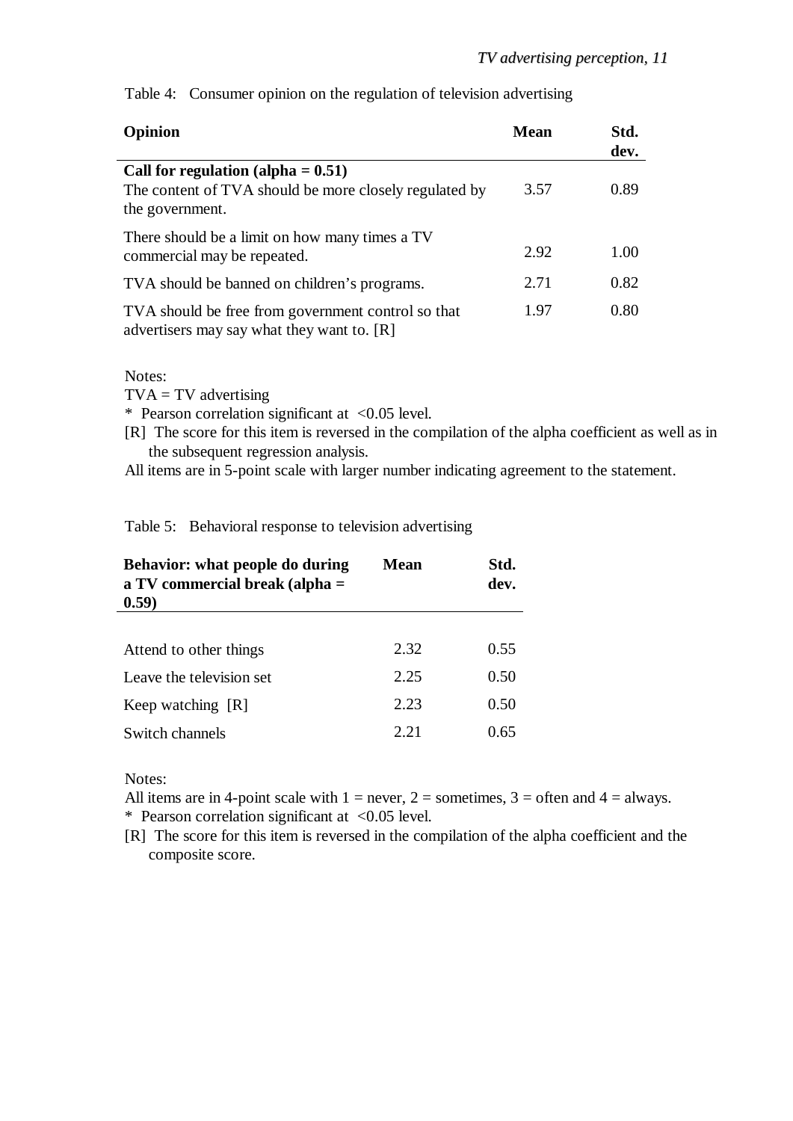| Opinion                                                                                                            | <b>Mean</b> | Std.<br>dev. |
|--------------------------------------------------------------------------------------------------------------------|-------------|--------------|
| Call for regulation (alpha $= 0.51$ )<br>The content of TVA should be more closely regulated by<br>the government. | 3.57        | 0.89         |
| There should be a limit on how many times a TV<br>commercial may be repeated.                                      | 2.92        | 1.00         |
| TVA should be banned on children's programs.                                                                       | 2.71        | 0.82         |
| TVA should be free from government control so that<br>advertisers may say what they want to. [R]                   | 1.97        | 0.80         |

Table 4: Consumer opinion on the regulation of television advertising

Notes:

 $TVA = TV$  advertising

\* Pearson correlation significant at <0.05 level.

[R] The score for this item is reversed in the compilation of the alpha coefficient as well as in the subsequent regression analysis.

All items are in 5-point scale with larger number indicating agreement to the statement.

Table 5: Behavioral response to television advertising

| Behavior: what people do during<br>a TV commercial break (alpha $=$<br>(0.59) | <b>Mean</b> | Std.<br>dev. |
|-------------------------------------------------------------------------------|-------------|--------------|
|                                                                               |             |              |
| Attend to other things                                                        | 2.32        | 0.55         |
| Leave the television set                                                      | 2.25        | 0.50         |
| Keep watching [R]                                                             | 2.23        | 0.50         |
| Switch channels                                                               | 2.21        | 0.65         |

Notes:

All items are in 4-point scale with  $1 =$  never,  $2 =$  sometimes,  $3 =$  often and  $4 =$  always. \* Pearson correlation significant at <0.05 level.

[R] The score for this item is reversed in the compilation of the alpha coefficient and the composite score.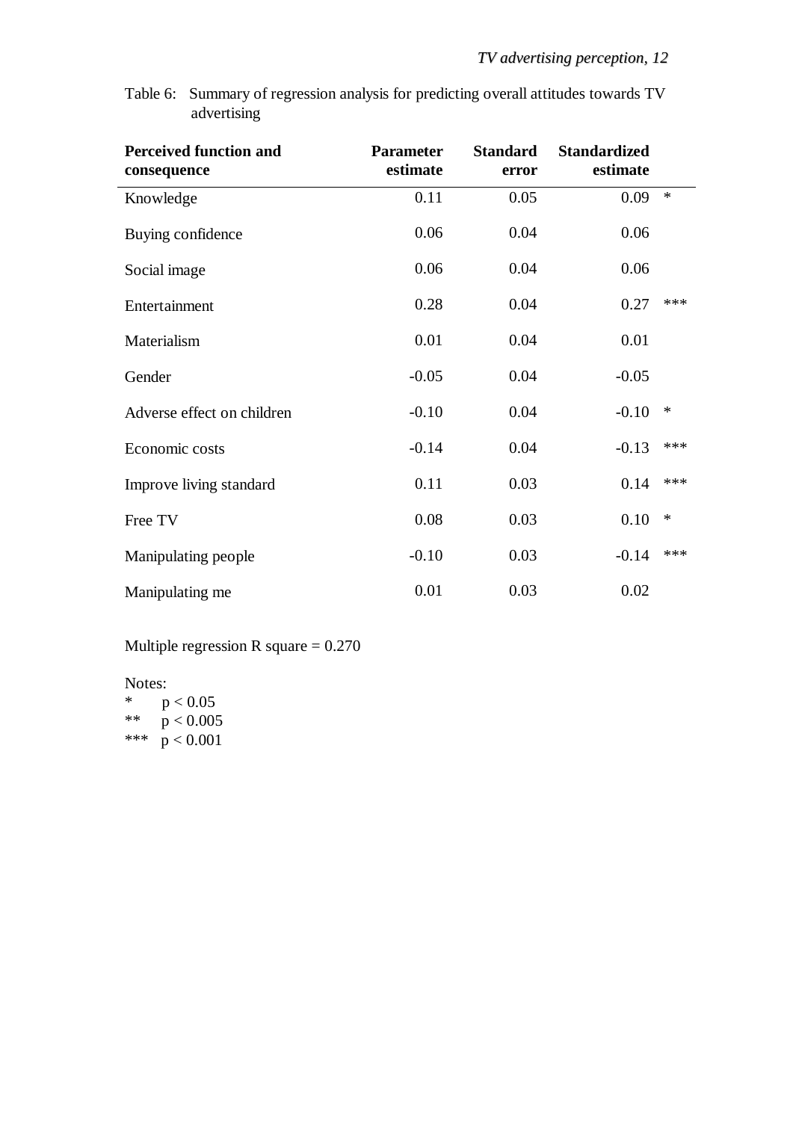Table 6: Summary of regression analysis for predicting overall attitudes towards TV advertising

| <b>Perceived function and</b><br>consequence | <b>Parameter</b><br>estimate | <b>Standard</b><br>error | <b>Standardized</b><br>estimate |        |
|----------------------------------------------|------------------------------|--------------------------|---------------------------------|--------|
| Knowledge                                    | 0.11                         | 0.05                     | 0.09                            | $\ast$ |
| Buying confidence                            | 0.06                         | 0.04                     | 0.06                            |        |
| Social image                                 | 0.06                         | 0.04                     | 0.06                            |        |
| Entertainment                                | 0.28                         | 0.04                     | 0.27                            | ***    |
| Materialism                                  | 0.01                         | 0.04                     | 0.01                            |        |
| Gender                                       | $-0.05$                      | 0.04                     | $-0.05$                         |        |
| Adverse effect on children                   | $-0.10$                      | 0.04                     | $-0.10$                         | $\ast$ |
| Economic costs                               | $-0.14$                      | 0.04                     | $-0.13$                         | ***    |
| Improve living standard                      | 0.11                         | 0.03                     | 0.14                            | ***    |
| Free TV                                      | 0.08                         | 0.03                     | 0.10                            | $\ast$ |
| Manipulating people                          | $-0.10$                      | 0.03                     | $-0.14$                         | ***    |
| Manipulating me                              | 0.01                         | 0.03                     | 0.02                            |        |

Multiple regression R square = 0.270

Notes:<br> $\frac{1}{2}$  n

 $p < 0.05$ \*\*  $p < 0.005$ \*\*\*  $p < 0.001$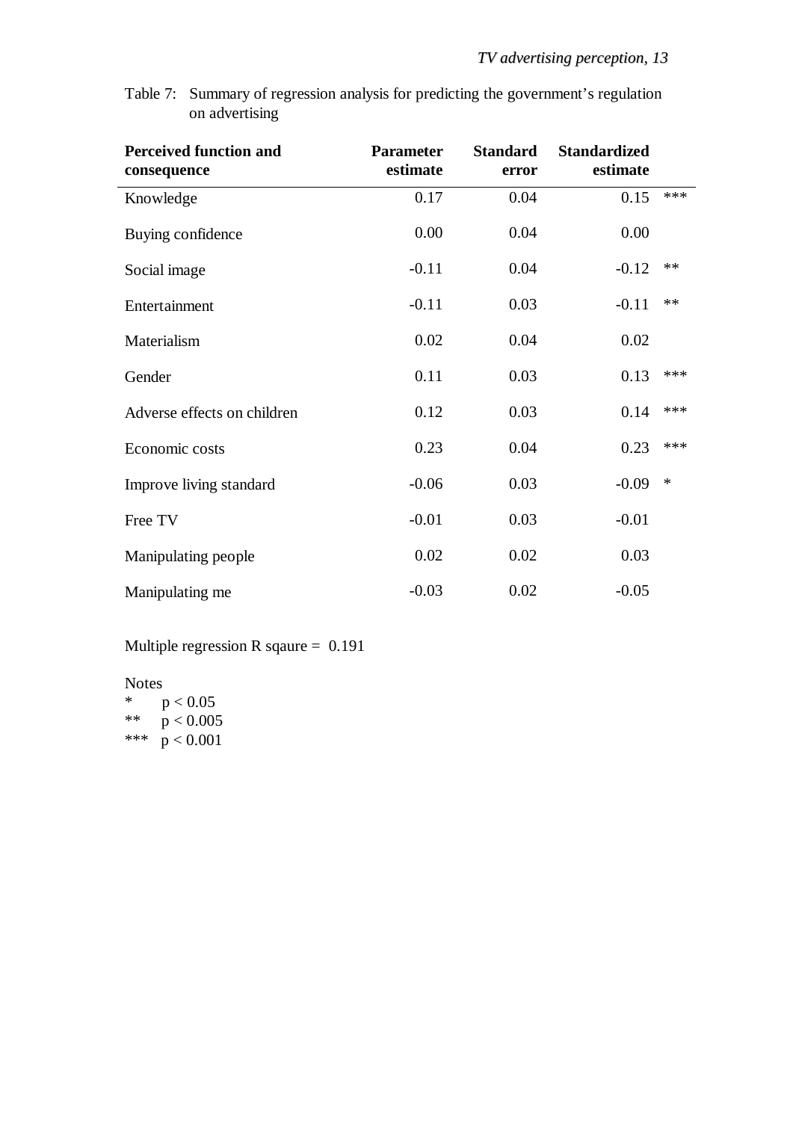Table 7: Summary of regression analysis for predicting the government's regulation on advertising

| <b>Perceived function and</b><br>consequence | <b>Parameter</b><br>estimate | <b>Standard</b><br>error | <b>Standardized</b><br>estimate |        |
|----------------------------------------------|------------------------------|--------------------------|---------------------------------|--------|
| Knowledge                                    | 0.17                         | 0.04                     | 0.15                            | ***    |
| Buying confidence                            | 0.00                         | 0.04                     | 0.00                            |        |
| Social image                                 | $-0.11$                      | 0.04                     | $-0.12$                         | **     |
| Entertainment                                | $-0.11$                      | 0.03                     | $-0.11$                         | **     |
| Materialism                                  | 0.02                         | 0.04                     | 0.02                            |        |
| Gender                                       | 0.11                         | 0.03                     | 0.13                            | ***    |
| Adverse effects on children                  | 0.12                         | 0.03                     | 0.14                            | ***    |
| Economic costs                               | 0.23                         | 0.04                     | 0.23                            | ***    |
| Improve living standard                      | $-0.06$                      | 0.03                     | $-0.09$                         | $\ast$ |
| Free TV                                      | $-0.01$                      | 0.03                     | $-0.01$                         |        |
| Manipulating people                          | 0.02                         | 0.02                     | 0.03                            |        |
| Manipulating me                              | $-0.03$                      | 0.02                     | $-0.05$                         |        |

Multiple regression R sqaure = 0.191

Notes<br> $*$ 

 $p < 0.05$ \*\*  $p < 0.005$ \*\*\*  $p < 0.001$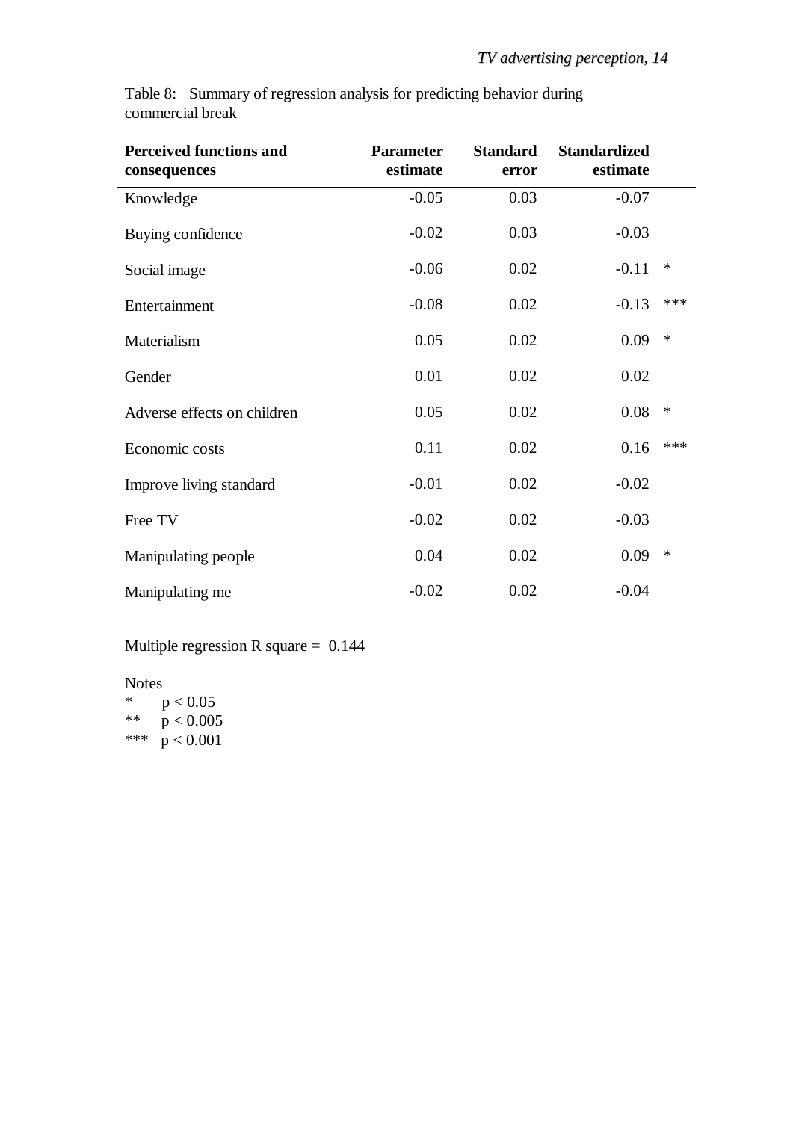|                  |  |  | Table 8: Summary of regression analysis for predicting behavior during |  |
|------------------|--|--|------------------------------------------------------------------------|--|
| commercial break |  |  |                                                                        |  |

| <b>Perceived functions and</b><br>consequences | <b>Parameter</b><br>estimate | <b>Standard</b><br>error | <b>Standardized</b><br>estimate |        |
|------------------------------------------------|------------------------------|--------------------------|---------------------------------|--------|
| Knowledge                                      | $-0.05$                      | 0.03                     | $-0.07$                         |        |
| Buying confidence                              | $-0.02$                      | 0.03                     | $-0.03$                         |        |
| Social image                                   | $-0.06$                      | 0.02                     | $-0.11$                         | ∗      |
| Entertainment                                  | $-0.08$                      | 0.02                     | $-0.13$                         | ***    |
| Materialism                                    | 0.05                         | 0.02                     | 0.09                            | $\ast$ |
| Gender                                         | 0.01                         | 0.02                     | 0.02                            |        |
| Adverse effects on children                    | 0.05                         | 0.02                     | 0.08                            | $\ast$ |
| Economic costs                                 | 0.11                         | 0.02                     | 0.16                            | ***    |
| Improve living standard                        | $-0.01$                      | 0.02                     | $-0.02$                         |        |
| Free TV                                        | $-0.02$                      | 0.02                     | $-0.03$                         |        |
| Manipulating people                            | 0.04                         | 0.02                     | 0.09                            | $\ast$ |
| Manipulating me                                | $-0.02$                      | 0.02                     | $-0.04$                         |        |

Multiple regression R square = 0.144

Notes<br> $*$   $\Gamma$  $p < 0.05$ \*\*  $p < 0.005$ 

\*\*\*  $p < 0.001$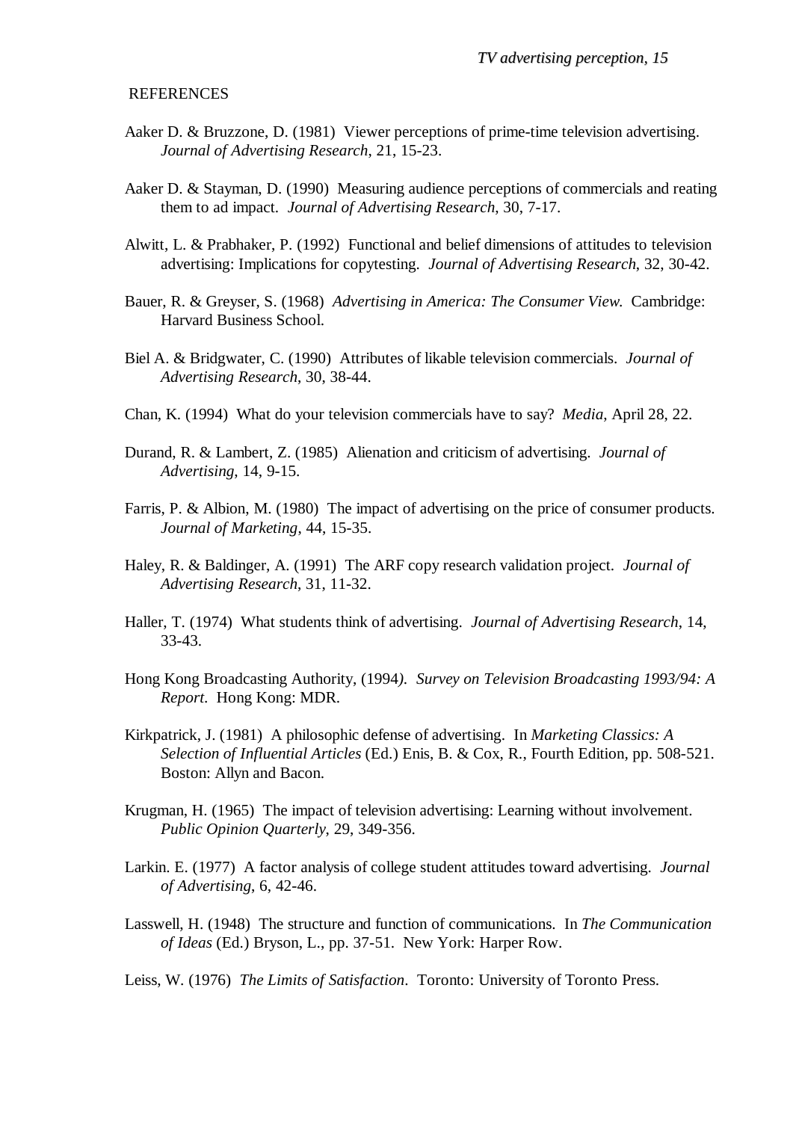### REFERENCES

- Aaker D. & Bruzzone, D. (1981) Viewer perceptions of prime-time television advertising. *Journal of Advertising Research*, 21, 15-23.
- Aaker D. & Stayman, D. (1990) Measuring audience perceptions of commercials and reating them to ad impact. *Journal of Advertising Research*, 30, 7-17.
- Alwitt, L. & Prabhaker, P. (1992) Functional and belief dimensions of attitudes to television advertising: Implications for copytesting. *Journal of Advertising Research*, 32, 30-42.
- Bauer, R. & Greyser, S. (1968) *Advertising in America: The Consumer View*. Cambridge: Harvard Business School.
- Biel A. & Bridgwater, C. (1990) Attributes of likable television commercials. *Journal of Advertising Research*, 30, 38-44.
- Chan, K. (1994) What do your television commercials have to say? *Media*, April 28, 22.
- Durand, R. & Lambert, Z. (1985) Alienation and criticism of advertising. *Journal of Advertising*, 14, 9-15.
- Farris, P. & Albion, M. (1980) The impact of advertising on the price of consumer products. *Journal of Marketing*, 44, 15-35.
- Haley, R. & Baldinger, A. (1991) The ARF copy research validation project. *Journal of Advertising Research*, 31, 11-32.
- Haller, T. (1974) What students think of advertising. *Journal of Advertising Research*, 14, 33-43.
- Hong Kong Broadcasting Authority, (1994*). Survey on Television Broadcasting 1993/94: A Report*. Hong Kong: MDR.
- Kirkpatrick, J. (1981) A philosophic defense of advertising. In *Marketing Classics: A Selection of Influential Articles* (Ed.) Enis, B. & Cox, R., Fourth Edition*,* pp. 508-521. Boston: Allyn and Bacon.
- Krugman, H. (1965) The impact of television advertising: Learning without involvement. *Public Opinion Quarterly*, 29, 349-356.
- Larkin. E. (1977) A factor analysis of college student attitudes toward advertising. *Journal of Advertising*, 6, 42-46.
- Lasswell, H. (1948) The structure and function of communications. In *The Communication of Ideas* (Ed.) Bryson, L., pp. 37-51. New York: Harper Row.
- Leiss, W. (1976) *The Limits of Satisfaction*. Toronto: University of Toronto Press.